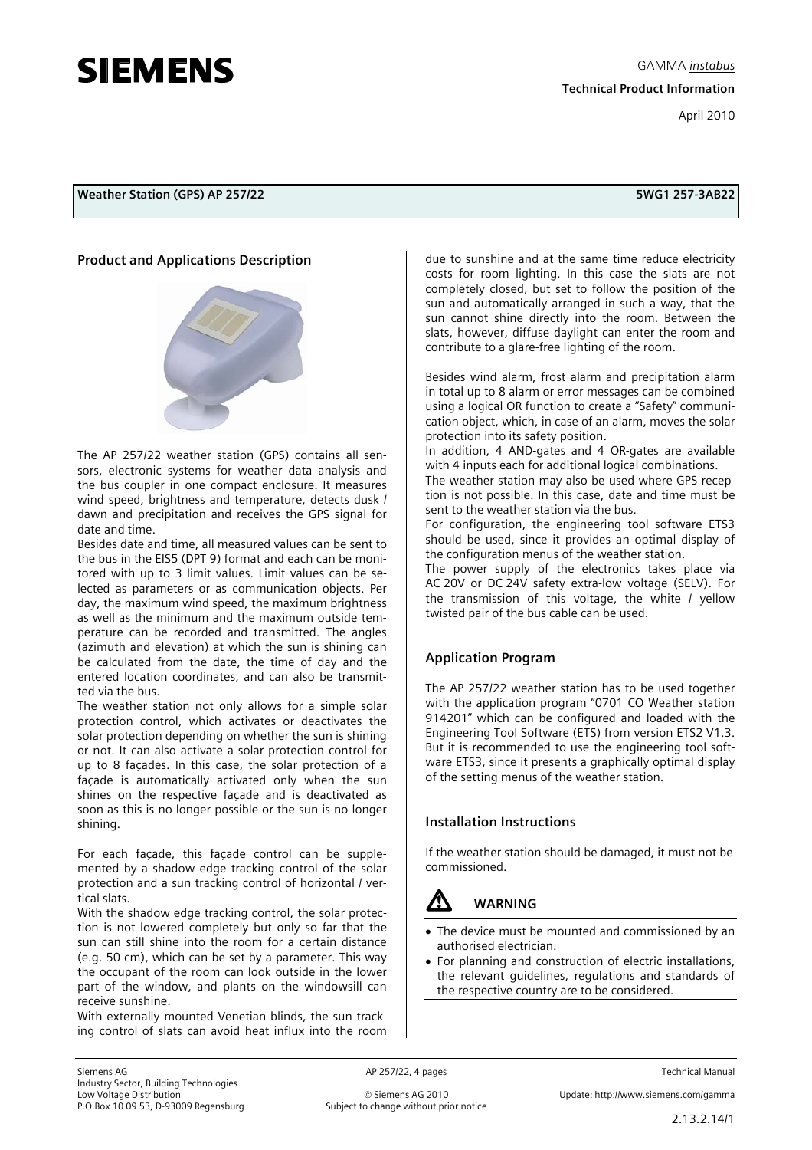# **SIEMENS**

**Weather Station (GPS) AP 257/22 5WG1 257-3AB22** 

#### **Product and Applications Description**



The AP 257/22 weather station (GPS) contains all sensors, electronic systems for weather data analysis and the bus coupler in one compact enclosure. It measures wind speed, brightness and temperature, detects dusk / dawn and precipitation and receives the GPS signal for date and time.

Besides date and time, all measured values can be sent to the bus in the EIS5 (DPT 9) format and each can be monitored with up to 3 limit values. Limit values can be selected as parameters or as communication objects. Per day, the maximum wind speed, the maximum brightness as well as the minimum and the maximum outside temperature can be recorded and transmitted. The angles (azimuth and elevation) at which the sun is shining can be calculated from the date, the time of day and the entered location coordinates, and can also be transmitted via the bus.

The weather station not only allows for a simple solar protection control, which activates or deactivates the solar protection depending on whether the sun is shining or not. It can also activate a solar protection control for up to 8 façades. In this case, the solar protection of a façade is automatically activated only when the sun shines on the respective façade and is deactivated as soon as this is no longer possible or the sun is no longer shining.

For each façade, this façade control can be supplemented by a shadow edge tracking control of the solar protection and a sun tracking control of horizontal / vertical slats.

With the shadow edge tracking control, the solar protection is not lowered completely but only so far that the sun can still shine into the room for a certain distance (e.g. 50 cm), which can be set by a parameter. This way the occupant of the room can look outside in the lower part of the window, and plants on the windowsill can receive sunshine.

With externally mounted Venetian blinds, the sun tracking control of slats can avoid heat influx into the room due to sunshine and at the same time reduce electricity costs for room lighting. In this case the slats are not completely closed, but set to follow the position of the sun and automatically arranged in such a way, that the sun cannot shine directly into the room. Between the slats, however, diffuse daylight can enter the room and contribute to a glare-free lighting of the room.

Besides wind alarm, frost alarm and precipitation alarm in total up to 8 alarm or error messages can be combined using a logical OR function to create a "Safety" communication object, which, in case of an alarm, moves the solar protection into its safety position.

In addition, 4 AND-gates and 4 OR-gates are available with 4 inputs each for additional logical combinations.

The weather station may also be used where GPS reception is not possible. In this case, date and time must be sent to the weather station via the bus.

For configuration, the engineering tool software ETS3 should be used, since it provides an optimal display of the configuration menus of the weather station.

The power supply of the electronics takes place via AC 20V or DC 24V safety extra-low voltage (SELV). For the transmission of this voltage, the white / yellow twisted pair of the bus cable can be used.

### **Application Program**

The AP 257/22 weather station has to be used together with the application program "0701 CO Weather station 914201" which can be configured and loaded with the Engineering Tool Software (ETS) from version ETS2 V1.3. But it is recommended to use the engineering tool software ETS3, since it presents a graphically optimal display of the setting menus of the weather station.

### **Installation Instructions**

If the weather station should be damaged, it must not be commissioned.



# V **WARNING**

- The device must be mounted and commissioned by an authorised electrician.
- For planning and construction of electric installations, the relevant guidelines, regulations and standards of the respective country are to be considered.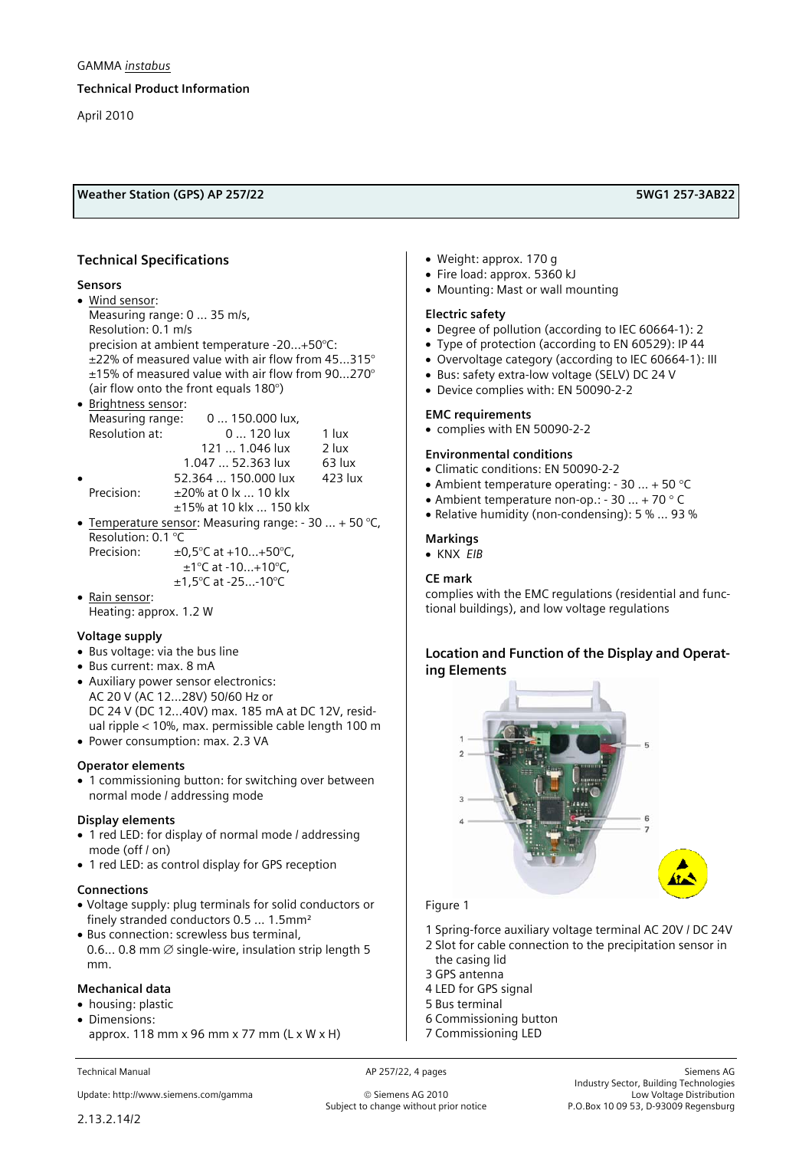#### **Technical Product Information**

April 2010

### **Weather Station (GPS) AP 257/22 5WG1 257-3AB22**

### **Technical Specifications**

#### **Sensors**

- Wind sensor: Measuring range: 0 ... 35 m/s, Resolution: 0.1 m/s precision at ambient temperature -20…+50°C: ±22% of measured value with air flow from 45…315° ±15% of measured value with air flow from 90…270° (air flow onto the front equals 180°)
- Brightness sensor: Measuring range: 0 ... 150.000 lux, Resolution at: 0 ... 120 lux 1 lux 121 ... 1.046 lux 2 lux 1.047 ... 52.363 lux 63 lux • 52.364 ... 150.000 lux 423 lux Precision:  $\pm 20\%$  at 0 lx ... 10 klx ±15% at 10 klx … 150 klx • Temperature sensor: Measuring range:  $-30$  ...  $+50$  °C, Resolution: 0.1 °C Precision:  $\pm 0.5^{\circ}$ C at +10...+50 $^{\circ}$ C,

 ±1°C at -10…+10°C, ±1,5°C at -25…-10°C

• Rain sensor: Heating: approx. 1.2 W

#### **Voltage supply**

- Bus voltage: via the bus line
- Bus current: max. 8 mA
- Auxiliary power sensor electronics: AC 20 V (AC 12...28V) 50/60 Hz or DC 24 V (DC 12...40V) max. 185 mA at DC 12V, residual ripple < 10%, max. permissible cable length 100 m • Power consumption: max. 2.3 VA

# **Operator elements**

• 1 commissioning button: for switching over between normal mode / addressing mode

#### **Display elements**

- 1 red LED: for display of normal mode / addressing mode (off / on)
- 1 red LED: as control display for GPS reception

#### **Connections**

- Voltage supply: plug terminals for solid conductors or finely stranded conductors 0.5 ... 1.5mm²
- Bus connection: screwless bus terminal, 0.6... 0.8 mm  $\emptyset$  single-wire, insulation strip length 5 mm.

#### **Mechanical data**

- housing: plastic
- Dimensions: approx. 118 mm  $x$  96 mm  $x$  77 mm (L  $x$  W  $x$  H)

Update: http://www.siemens.com/gamma © Siemens AG 2010 Low Voltage Distribution

- Weight: approx. 170 g
- Fire load: approx. 5360 kJ
- Mounting: Mast or wall mounting

#### **Electric safety**

- Degree of pollution (according to IEC 60664-1): 2
- Type of protection (according to EN 60529): IP 44
- Overvoltage category (according to IEC 60664-1): III
- Bus: safety extra-low voltage (SELV) DC 24 V
- Device complies with: EN 50090-2-2

#### **EMC requirements**

• complies with EN 50090-2-2

#### **Environmental conditions**

- Climatic conditions: EN 50090-2-2
- Ambient temperature operating: 30 ... + 50 °C
- Ambient temperature non-op.: 30 ... + 70 ° C
- Relative humidity (non-condensing): 5 % … 93 %

#### **Markings**

• KNX *EIB* 

#### **CE mark**

complies with the EMC regulations (residential and functional buildings), and low voltage regulations

#### **Location and Function of the Display and Operating Elements**



#### Figure 1

- 1 Spring-force auxiliary voltage terminal AC 20V / DC 24V
- 2 Slot for cable connection to the precipitation sensor in
- the casing lid
- 3 GPS antenna
- 4 LED for GPS signal
- 5 Bus terminal
- 6 Commissioning button
- 7 Commissioning LED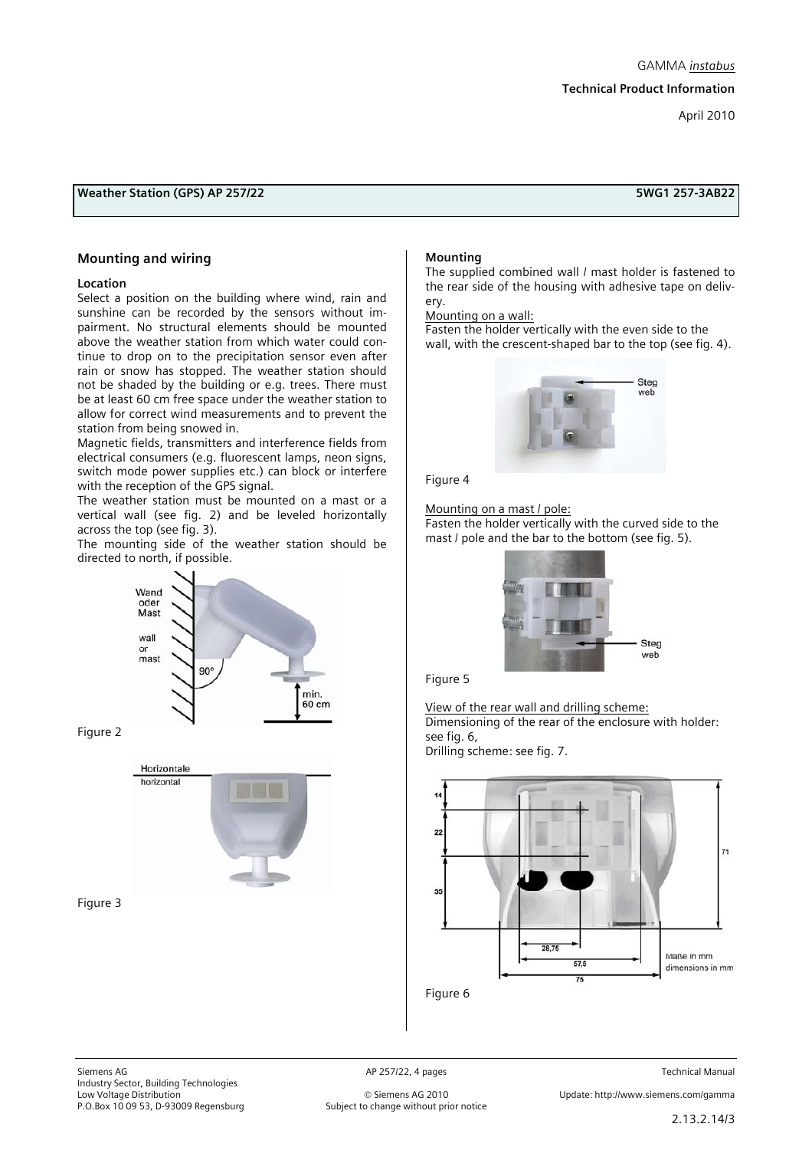## **Weather Station (GPS) AP 257/22 5WG1 257-3AB22**

#### **Mounting and wiring**

#### **Location**

Select a position on the building where wind, rain and sunshine can be recorded by the sensors without impairment. No structural elements should be mounted above the weather station from which water could continue to drop on to the precipitation sensor even after rain or snow has stopped. The weather station should not be shaded by the building or e.g. trees. There must be at least 60 cm free space under the weather station to allow for correct wind measurements and to prevent the station from being snowed in.

Magnetic fields, transmitters and interference fields from electrical consumers (e.g. fluorescent lamps, neon signs, switch mode power supplies etc.) can block or interfere with the reception of the GPS signal.

The weather station must be mounted on a mast or a vertical wall (see fig. 2) and be leveled horizontally across the top (see fig. 3).

The mounting side of the weather station should be directed to north, if possible.



Figure 2



Figure 3

#### **Mounting**

The supplied combined wall / mast holder is fastened to the rear side of the housing with adhesive tape on delivery.

Mounting on a wall:

Fasten the holder vertically with the even side to the wall, with the crescent-shaped bar to the top (see fig. 4).



Figure 4

Mounting on a mast / pole:

Fasten the holder vertically with the curved side to the mast / pole and the bar to the bottom (see fig. 5).



Figure 5

View of the rear wall and drilling scheme: Dimensioning of the rear of the enclosure with holder: see fig. 6,

Drilling scheme: see fig. 7.